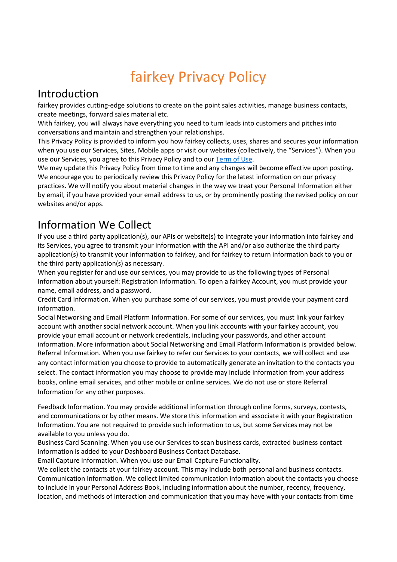# fairkey Privacy Policy

#### Introduction

fairkey provides cutting-edge solutions to create on the point sales activities, manage business contacts, create meetings, forward sales material etc.

With fairkey, you will always have everything you need to turn leads into customers and pitches into conversations and maintain and strengthen your relationships.

This Privacy Policy is provided to inform you how fairkey collects, uses, shares and secures your information when you use our Services, Sites, Mobile apps or visit our websites (collectively, the "Services"). When you use our Services, you agree to this Privacy Policy and to our [Term of Use.](https://fairkey.com/wp-content/uploads/terms-of-use.pdf)

We may update this Privacy Policy from time to time and any changes will become effective upon posting. We encourage you to periodically review this Privacy Policy for the latest information on our privacy practices. We will notify you about material changes in the way we treat your Personal Information either by email, if you have provided your email address to us, or by prominently posting the revised policy on our websites and/or apps.

#### Information We Collect

If you use a third party application(s), our APIs or website(s) to integrate your information into fairkey and its Services, you agree to transmit your information with the API and/or also authorize the third party application(s) to transmit your information to fairkey, and for fairkey to return information back to you or the third party application(s) as necessary.

When you register for and use our services, you may provide to us the following types of Personal Information about yourself: Registration Information. To open a fairkey Account, you must provide your name, email address, and a password.

Credit Card Information. When you purchase some of our services, you must provide your payment card information.

Social Networking and Email Platform Information. For some of our services, you must link your fairkey account with another social network account. When you link accounts with your fairkey account, you provide your email account or network credentials, including your passwords, and other account information. More information about Social Networking and Email Platform Information is provided below. Referral Information. When you use fairkey to refer our Services to your contacts, we will collect and use any contact information you choose to provide to automatically generate an invitation to the contacts you select. The contact information you may choose to provide may include information from your address books, online email services, and other mobile or online services. We do not use or store Referral Information for any other purposes.

Feedback Information. You may provide additional information through online forms, surveys, contests, and communications or by other means. We store this information and associate it with your Registration Information. You are not required to provide such information to us, but some Services may not be available to you unless you do.

Business Card Scanning. When you use our Services to scan business cards, extracted business contact information is added to your Dashboard Business Contact Database.

Email Capture Information. When you use our Email Capture Functionality.

We collect the contacts at your fairkey account. This may include both personal and business contacts. Communication Information. We collect limited communication information about the contacts you choose to include in your Personal Address Book, including information about the number, recency, frequency, location, and methods of interaction and communication that you may have with your contacts from time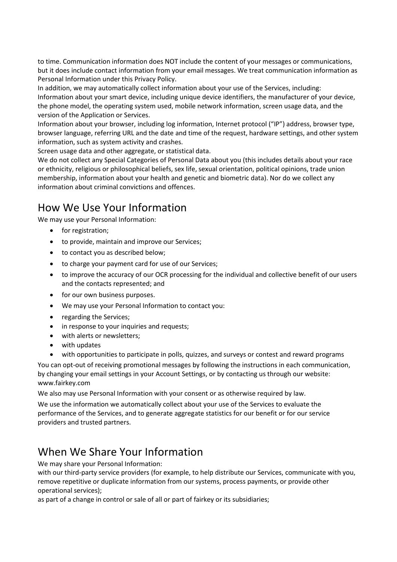to time. Communication information does NOT include the content of your messages or communications, but it does include contact information from your email messages. We treat communication information as Personal Information under this Privacy Policy.

In addition, we may automatically collect information about your use of the Services, including: Information about your smart device, including unique device identifiers, the manufacturer of your device, the phone model, the operating system used, mobile network information, screen usage data, and the version of the Application or Services.

Information about your browser, including log information, Internet protocol ("IP") address, browser type, browser language, referring URL and the date and time of the request, hardware settings, and other system information, such as system activity and crashes.

Screen usage data and other aggregate, or statistical data.

We do not collect any Special Categories of Personal Data about you (this includes details about your race or ethnicity, religious or philosophical beliefs, sex life, sexual orientation, political opinions, trade union membership, information about your health and genetic and biometric data). Nor do we collect any information about criminal convictions and offences.

#### How We Use Your Information

We may use your Personal Information:

- for registration;
- to provide, maintain and improve our Services;
- to contact you as described below;
- to charge your payment card for use of our Services;
- to improve the accuracy of our OCR processing for the individual and collective benefit of our users and the contacts represented; and
- for our own business purposes.
- We may use your Personal Information to contact you:
- regarding the Services;
- in response to your inquiries and requests;
- with alerts or newsletters;
- with updates
- with opportunities to participate in polls, quizzes, and surveys or contest and reward programs

You can opt-out of receiving promotional messages by following the instructions in each communication, by changing your email settings in your Account Settings, or by contacting us through our website: www.fairkey.com

We also may use Personal Information with your consent or as otherwise required by law.

We use the information we automatically collect about your use of the Services to evaluate the performance of the Services, and to generate aggregate statistics for our benefit or for our service providers and trusted partners.

#### When We Share Your Information

We may share your Personal Information:

with our third-party service providers (for example, to help distribute our Services, communicate with you, remove repetitive or duplicate information from our systems, process payments, or provide other operational services);

as part of a change in control or sale of all or part of fairkey or its subsidiaries;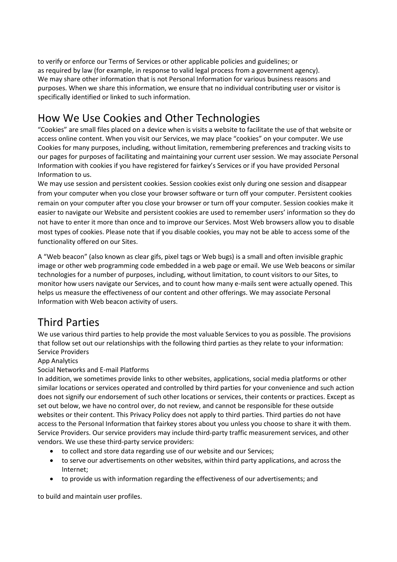to verify or enforce our Terms of Services or other applicable policies and guidelines; or as required by law (for example, in response to valid legal process from a government agency). We may share other information that is not Personal Information for various business reasons and purposes. When we share this information, we ensure that no individual contributing user or visitor is specifically identified or linked to such information.

# How We Use Cookies and Other Technologies

"Cookies" are small files placed on a device when is visits a website to facilitate the use of that website or access online content. When you visit our Services, we may place "cookies" on your computer. We use Cookies for many purposes, including, without limitation, remembering preferences and tracking visits to our pages for purposes of facilitating and maintaining your current user session. We may associate Personal Information with cookies if you have registered for fairkey's Services or if you have provided Personal Information to us.

We may use session and persistent cookies. Session cookies exist only during one session and disappear from your computer when you close your browser software or turn off your computer. Persistent cookies remain on your computer after you close your browser or turn off your computer. Session cookies make it easier to navigate our Website and persistent cookies are used to remember users' information so they do not have to enter it more than once and to improve our Services. Most Web browsers allow you to disable most types of cookies. Please note that if you disable cookies, you may not be able to access some of the functionality offered on our Sites.

A "Web beacon" (also known as clear gifs, pixel tags or Web bugs) is a small and often invisible graphic image or other web programming code embedded in a web page or email. We use Web beacons or similar technologies for a number of purposes, including, without limitation, to count visitors to our Sites, to monitor how users navigate our Services, and to count how many e-mails sent were actually opened. This helps us measure the effectiveness of our content and other offerings. We may associate Personal Information with Web beacon activity of users.

# Third Parties

We use various third parties to help provide the most valuable Services to you as possible. The provisions that follow set out our relationships with the following third parties as they relate to your information: Service Providers

#### App Analytics

Social Networks and E-mail Platforms

In addition, we sometimes provide links to other websites, applications, social media platforms or other similar locations or services operated and controlled by third parties for your convenience and such action does not signify our endorsement of such other locations or services, their contents or practices. Except as set out below, we have no control over, do not review, and cannot be responsible for these outside websites or their content. This Privacy Policy does not apply to third parties. Third parties do not have access to the Personal Information that fairkey stores about you unless you choose to share it with them. Service Providers. Our service providers may include third-party traffic measurement services, and other vendors. We use these third-party service providers:

- to collect and store data regarding use of our website and our Services;
- to serve our advertisements on other websites, within third party applications, and across the Internet;
- to provide us with information regarding the effectiveness of our advertisements; and

to build and maintain user profiles.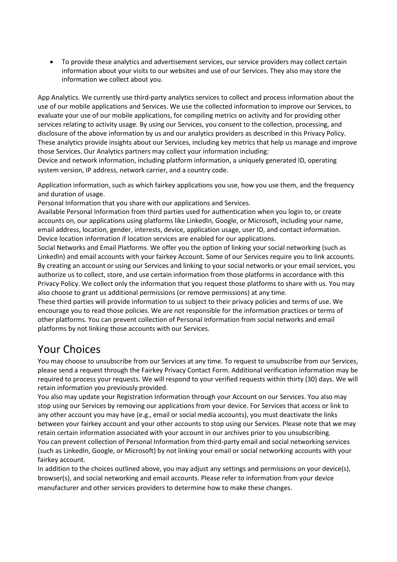• To provide these analytics and advertisement services, our service providers may collect certain information about your visits to our websites and use of our Services. They also may store the information we collect about you.

App Analytics. We currently use third-party analytics services to collect and process information about the use of our mobile applications and Services. We use the collected information to improve our Services, to evaluate your use of our mobile applications, for compiling metrics on activity and for providing other services relating to activity usage. By using our Services, you consent to the collection, processing, and disclosure of the above information by us and our analytics providers as described in this Privacy Policy. These analytics provide insights about our Services, including key metrics that help us manage and improve those Services. Our Analytics partners may collect your information including:

Device and network information, including platform information, a uniquely generated ID, operating system version, IP address, network carrier, and a country code.

Application information, such as which fairkey applications you use, how you use them, and the frequency and duration of usage.

Personal Information that you share with our applications and Services.

Available Personal Information from third parties used for authentication when you login to, or create accounts on, our applications using platforms like LinkedIn, Google, or Microsoft, including your name, email address, location, gender, interests, device, application usage, user ID, and contact information. Device location information if location services are enabled for our applications.

Social Networks and Email Platforms. We offer you the option of linking your social networking (such as LinkedIn) and email accounts with your fairkey Account. Some of our Services require you to link accounts. By creating an account or using our Services and linking to your social networks or your email services, you authorize us to collect, store, and use certain information from those platforms in accordance with this Privacy Policy. We collect only the information that you request those platforms to share with us. You may also choose to grant us additional permissions (or remove permissions) at any time.

These third parties will provide information to us subject to their privacy policies and terms of use. We encourage you to read those policies. We are not responsible for the information practices or terms of other platforms. You can prevent collection of Personal Information from social networks and email platforms by not linking those accounts with our Services.

#### Your Choices

You may choose to unsubscribe from our Services at any time. To request to unsubscribe from our Services, please send a request through the Fairkey Privacy Contact Form. Additional verification information may be required to process your requests. We will respond to your verified requests within thirty (30) days. We will retain information you previously provided.

You also may update your Registration Information through your Account on our Services. You also may stop using our Services by removing our applications from your device. For Services that access or link to any other account you may have (e.g., email or social media accounts), you must deactivate the links between your fairkey account and your other accounts to stop using our Services. Please note that we may retain certain information associated with your account in our archives prior to you unsubscribing. You can prevent collection of Personal Information from third-party email and social networking services (such as LinkedIn, Google, or Microsoft) by not linking your email or social networking accounts with your fairkey account.

In addition to the choices outlined above, you may adjust any settings and permissions on your device(s), browser(s), and social networking and email accounts. Please refer to information from your device manufacturer and other services providers to determine how to make these changes.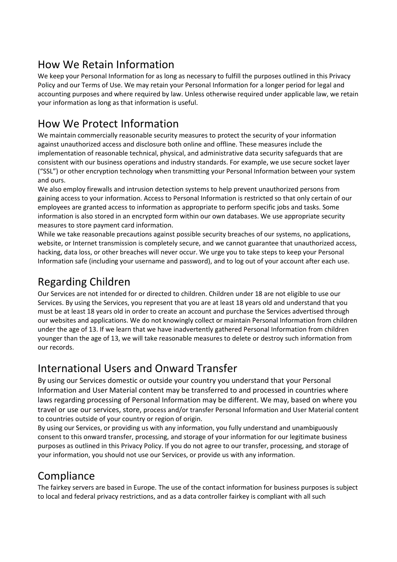# How We Retain Information

We keep your Personal Information for as long as necessary to fulfill the purposes outlined in this Privacy Policy and our Terms of Use. We may retain your Personal Information for a longer period for legal and accounting purposes and where required by law. Unless otherwise required under applicable law, we retain your information as long as that information is useful.

# How We Protect Information

We maintain commercially reasonable security measures to protect the security of your information against unauthorized access and disclosure both online and offline. These measures include the implementation of reasonable technical, physical, and administrative data security safeguards that are consistent with our business operations and industry standards. For example, we use secure socket layer ("SSL") or other encryption technology when transmitting your Personal Information between your system and ours.

We also employ firewalls and intrusion detection systems to help prevent unauthorized persons from gaining access to your information. Access to Personal Information is restricted so that only certain of our employees are granted access to information as appropriate to perform specific jobs and tasks. Some information is also stored in an encrypted form within our own databases. We use appropriate security measures to store payment card information.

While we take reasonable precautions against possible security breaches of our systems, no applications, website, or Internet transmission is completely secure, and we cannot guarantee that unauthorized access, hacking, data loss, or other breaches will never occur. We urge you to take steps to keep your Personal Information safe (including your username and password), and to log out of your account after each use.

# Regarding Children

Our Services are not intended for or directed to children. Children under 18 are not eligible to use our Services. By using the Services, you represent that you are at least 18 years old and understand that you must be at least 18 years old in order to create an account and purchase the Services advertised through our websites and applications. We do not knowingly collect or maintain Personal Information from children under the age of 13. If we learn that we have inadvertently gathered Personal Information from children younger than the age of 13, we will take reasonable measures to delete or destroy such information from our records.

# International Users and Onward Transfer

By using our Services domestic or outside your country you understand that your Personal Information and User Material content may be transferred to and processed in countries where laws regarding processing of Personal Information may be different. We may, based on where you travel or use our services, store, process and/or transfer Personal Information and User Material content to countries outside of your country or region of origin.

By using our Services, or providing us with any information, you fully understand and unambiguously consent to this onward transfer, processing, and storage of your information for our legitimate business purposes as outlined in this Privacy Policy. If you do not agree to our transfer, processing, and storage of your information, you should not use our Services, or provide us with any information.

# **Compliance**

The fairkey servers are based in Europe. The use of the contact information for business purposes is subject to local and federal privacy restrictions, and as a data controller fairkey is compliant with all such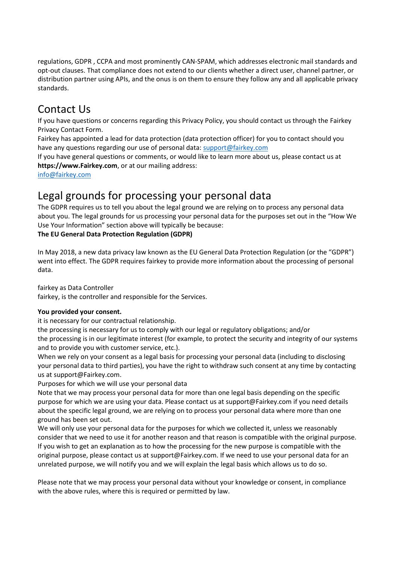regulations, GDPR , CCPA and most prominently CAN-SPAM, which addresses electronic mail standards and opt-out clauses. That compliance does not extend to our clients whether a direct user, channel partner, or distribution partner using APIs, and the onus is on them to ensure they follow any and all applicable privacy standards.

#### Contact Us

If you have questions or concerns regarding this Privacy Policy, you should contact us through the Fairkey Privacy Contact Form.

Fairkey has appointed a lead for data protection (data protection officer) for you to contact should you have any questions regarding our use of personal data[: support@fairkey.com](mailto:support@fairkey.com)

If you have general questions or comments, or would like to learn more about us, please contact us at **https://www.Fairkey.com**, or at our mailing address:

[info@fairkey.com](mailto:info@fairkey.com)

#### Legal grounds for processing your personal data

The GDPR requires us to tell you about the legal ground we are relying on to process any personal data about you. The legal grounds for us processing your personal data for the purposes set out in the "How We Use Your Information" section above will typically be because:

#### **The EU General Data Protection Regulation (GDPR)**

In May 2018, a new data privacy law known as the EU General Data Protection Regulation (or the "GDPR") went into effect. The GDPR requires fairkey to provide more information about the processing of personal data.

fairkey as Data Controller

fairkey, is the controller and responsible for the Services.

#### **You provided your consent.**

it is necessary for our contractual relationship.

the processing is necessary for us to comply with our legal or regulatory obligations; and/or the processing is in our legitimate interest (for example, to protect the security and integrity of our systems and to provide you with customer service, etc.).

When we rely on your consent as a legal basis for processing your personal data (including to disclosing your personal data to third parties), you have the right to withdraw such consent at any time by contacting us at support@Fairkey.com.

Purposes for which we will use your personal data

Note that we may process your personal data for more than one legal basis depending on the specific purpose for which we are using your data. Please contact us at support@Fairkey.com if you need details about the specific legal ground, we are relying on to process your personal data where more than one ground has been set out.

We will only use your personal data for the purposes for which we collected it, unless we reasonably consider that we need to use it for another reason and that reason is compatible with the original purpose. If you wish to get an explanation as to how the processing for the new purpose is compatible with the original purpose, please contact us at support@Fairkey.com. If we need to use your personal data for an unrelated purpose, we will notify you and we will explain the legal basis which allows us to do so.

Please note that we may process your personal data without your knowledge or consent, in compliance with the above rules, where this is required or permitted by law.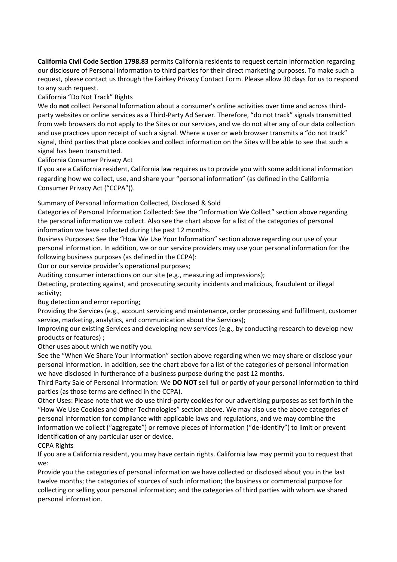**California Civil Code Section 1798.83** permits California residents to request certain information regarding our disclosure of Personal Information to third parties for their direct marketing purposes. To make such a request, please contact us through the Fairkey Privacy Contact Form. Please allow 30 days for us to respond to any such request.

California "Do Not Track" Rights

We do **not** collect Personal Information about a consumer's online activities over time and across thirdparty websites or online services as a Third-Party Ad Server. Therefore, "do not track" signals transmitted from web browsers do not apply to the Sites or our services, and we do not alter any of our data collection and use practices upon receipt of such a signal. Where a user or web browser transmits a "do not track" signal, third parties that place cookies and collect information on the Sites will be able to see that such a signal has been transmitted.

California Consumer Privacy Act

If you are a California resident, California law requires us to provide you with some additional information regarding how we collect, use, and share your "personal information" (as defined in the California Consumer Privacy Act ("CCPA")).

Summary of Personal Information Collected, Disclosed & Sold

Categories of Personal Information Collected: See the "Information We Collect" section above regarding the personal information we collect. Also see the chart above for a list of the categories of personal information we have collected during the past 12 months.

Business Purposes: See the "How We Use Your Information" section above regarding our use of your personal information. In addition, we or our service providers may use your personal information for the following business purposes (as defined in the CCPA):

Our or our service provider's operational purposes;

Auditing consumer interactions on our site (e.g., measuring ad impressions);

Detecting, protecting against, and prosecuting security incidents and malicious, fraudulent or illegal activity;

Bug detection and error reporting;

Providing the Services (e.g., account servicing and maintenance, order processing and fulfillment, customer service, marketing, analytics, and communication about the Services);

Improving our existing Services and developing new services (e.g., by conducting research to develop new products or features) ;

Other uses about which we notify you.

See the "When We Share Your Information" section above regarding when we may share or disclose your personal information. In addition, see the chart above for a list of the categories of personal information we have disclosed in furtherance of a business purpose during the past 12 months.

Third Party Sale of Personal Information: We **DO NOT** sell full or partly of your personal information to third parties (as those terms are defined in the CCPA).

Other Uses: Please note that we do use third-party cookies for our advertising purposes as set forth in the "How We Use Cookies and Other Technologies" section above. We may also use the above categories of personal information for compliance with applicable laws and regulations, and we may combine the information we collect ("aggregate") or remove pieces of information ("de-identify") to limit or prevent identification of any particular user or device.

CCPA Rights

If you are a California resident, you may have certain rights. California law may permit you to request that we:

Provide you the categories of personal information we have collected or disclosed about you in the last twelve months; the categories of sources of such information; the business or commercial purpose for collecting or selling your personal information; and the categories of third parties with whom we shared personal information.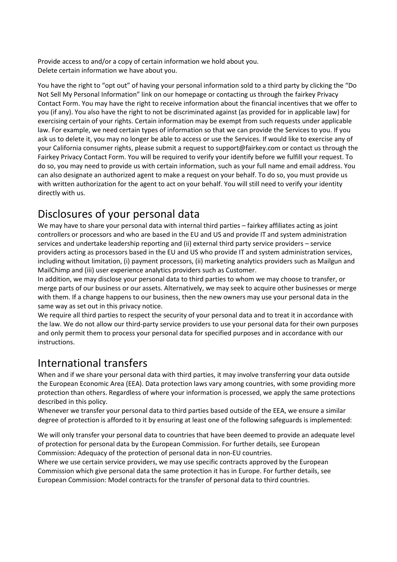Provide access to and/or a copy of certain information we hold about you. Delete certain information we have about you.

You have the right to "opt out" of having your personal information sold to a third party by clicking the "Do Not Sell My Personal Information" link on our homepage or contacting us through the fairkey Privacy Contact Form. You may have the right to receive information about the financial incentives that we offer to you (if any). You also have the right to not be discriminated against (as provided for in applicable law) for exercising certain of your rights. Certain information may be exempt from such requests under applicable law. For example, we need certain types of information so that we can provide the Services to you. If you ask us to delete it, you may no longer be able to access or use the Services. If would like to exercise any of your California consumer rights, please submit a request to support@fairkey.com or contact us through the Fairkey Privacy Contact Form. You will be required to verify your identify before we fulfill your request. To do so, you may need to provide us with certain information, such as your full name and email address. You can also designate an authorized agent to make a request on your behalf. To do so, you must provide us with written authorization for the agent to act on your behalf. You will still need to verify your identity directly with us.

# Disclosures of your personal data

We may have to share your personal data with internal third parties – fairkey affiliates acting as joint controllers or processors and who are based in the EU and US and provide IT and system administration services and undertake leadership reporting and (ii) external third party service providers – service providers acting as processors based in the EU and US who provide IT and system administration services, including without limitation, (i) payment processors, (ii) marketing analytics providers such as Mailgun and MailChimp and (iii) user experience analytics providers such as Customer.

In addition, we may disclose your personal data to third parties to whom we may choose to transfer, or merge parts of our business or our assets. Alternatively, we may seek to acquire other businesses or merge with them. If a change happens to our business, then the new owners may use your personal data in the same way as set out in this privacy notice.

We require all third parties to respect the security of your personal data and to treat it in accordance with the law. We do not allow our third-party service providers to use your personal data for their own purposes and only permit them to process your personal data for specified purposes and in accordance with our instructions.

#### International transfers

When and if we share your personal data with third parties, it may involve transferring your data outside the European Economic Area (EEA). Data protection laws vary among countries, with some providing more protection than others. Regardless of where your information is processed, we apply the same protections described in this policy.

Whenever we transfer your personal data to third parties based outside of the EEA, we ensure a similar degree of protection is afforded to it by ensuring at least one of the following safeguards is implemented:

We will only transfer your personal data to countries that have been deemed to provide an adequate level of protection for personal data by the European Commission. For further details, see European Commission: Adequacy of the protection of personal data in non-EU countries.

Where we use certain service providers, we may use specific contracts approved by the European Commission which give personal data the same protection it has in Europe. For further details, see European Commission: Model contracts for the transfer of personal data to third countries.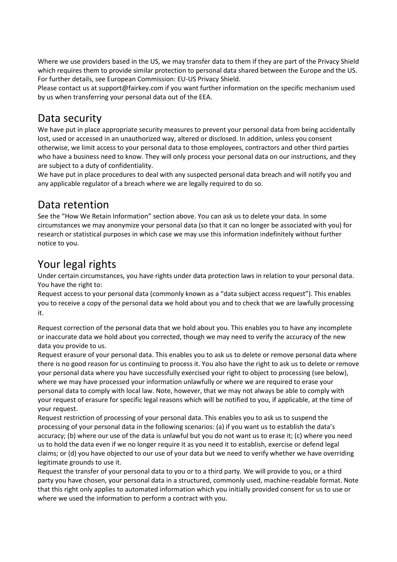Where we use providers based in the US, we may transfer data to them if they are part of the Privacy Shield which requires them to provide similar protection to personal data shared between the Europe and the US. For further details, see European Commission: EU-US Privacy Shield.

Please contact us at support@fairkey.com if you want further information on the specific mechanism used by us when transferring your personal data out of the EEA.

#### Data security

We have put in place appropriate security measures to prevent your personal data from being accidentally lost, used or accessed in an unauthorized way, altered or disclosed. In addition, unless you consent otherwise, we limit access to your personal data to those employees, contractors and other third parties who have a business need to know. They will only process your personal data on our instructions, and they are subject to a duty of confidentiality.

We have put in place procedures to deal with any suspected personal data breach and will notify you and any applicable regulator of a breach where we are legally required to do so.

#### Data retention

See the "How We Retain Information" section above. You can ask us to delete your data. In some circumstances we may anonymize your personal data (so that it can no longer be associated with you) for research or statistical purposes in which case we may use this information indefinitely without further notice to you.

# Your legal rights

Under certain circumstances, you have rights under data protection laws in relation to your personal data. You have the right to:

Request access to your personal data (commonly known as a "data subject access request"). This enables you to receive a copy of the personal data we hold about you and to check that we are lawfully processing it.

Request correction of the personal data that we hold about you. This enables you to have any incomplete or inaccurate data we hold about you corrected, though we may need to verify the accuracy of the new data you provide to us.

Request erasure of your personal data. This enables you to ask us to delete or remove personal data where there is no good reason for us continuing to process it. You also have the right to ask us to delete or remove your personal data where you have successfully exercised your right to object to processing (see below), where we may have processed your information unlawfully or where we are required to erase your personal data to comply with local law. Note, however, that we may not always be able to comply with your request of erasure for specific legal reasons which will be notified to you, if applicable, at the time of your request.

Request restriction of processing of your personal data. This enables you to ask us to suspend the processing of your personal data in the following scenarios: (a) if you want us to establish the data's accuracy; (b) where our use of the data is unlawful but you do not want us to erase it; (c) where you need us to hold the data even if we no longer require it as you need it to establish, exercise or defend legal claims; or (d) you have objected to our use of your data but we need to verify whether we have overriding legitimate grounds to use it.

Request the transfer of your personal data to you or to a third party. We will provide to you, or a third party you have chosen, your personal data in a structured, commonly used, machine-readable format. Note that this right only applies to automated information which you initially provided consent for us to use or where we used the information to perform a contract with you.